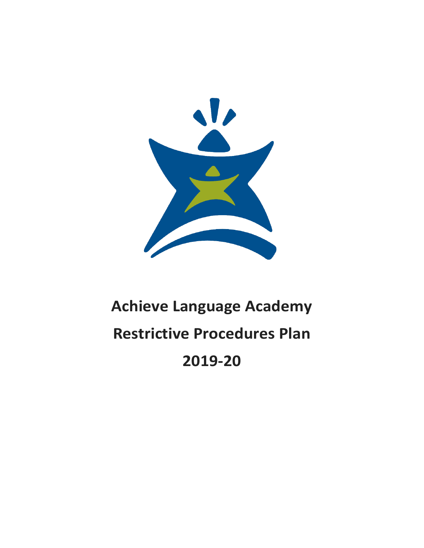

# **Achieve Language Academy Restrictive Procedures Plan 2019-20**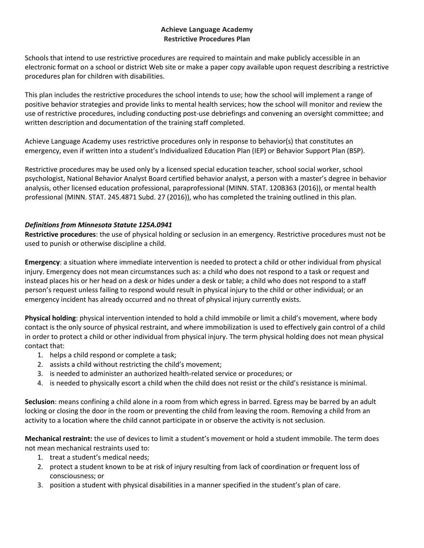## **Achieve Language Academy Restrictive Procedures Plan**

Schools that intend to use restrictive procedures are required to maintain and make publicly accessible in an electronic format on a school or district Web site or make a paper copy available upon request describing a restrictive procedures plan for children with disabilities.

This plan includes the restrictive procedures the school intends to use; how the school will implement a range of positive behavior strategies and provide links to mental health services; how the school will monitor and review the use of restrictive procedures, including conducting post-use debriefings and convening an oversight committee; and written description and documentation of the training staff completed.

Achieve Language Academy uses restrictive procedures only in response to behavior(s) that constitutes an emergency, even if written into a student's Individualized Education Plan (IEP) or Behavior Support Plan (BSP).

Restrictive procedures may be used only by a licensed special education teacher, school social worker, school psychologist, National Behavior Analyst Board certified behavior analyst, a person with a master's degree in behavior analysis, other licensed education professional, paraprofessional (MINN. STAT. 120B363 (2016)), or mental health professional (MINN. STAT. 245.4871 Subd. 27 (2016)), who has completed the training outlined in this plan.

# *Definitions from Minnesota Statute 125A.0941*

**Restrictive procedures**: the use of physical holding or seclusion in an emergency. Restrictive procedures must not be used to punish or otherwise discipline a child.

**Emergency**: a situation where immediate intervention is needed to protect a child or other individual from physical injury. Emergency does not mean circumstances such as: a child who does not respond to a task or request and instead places his or her head on a desk or hides under a desk or table; a child who does not respond to a staff person's request unless failing to respond would result in physical injury to the child or other individual; or an emergency incident has already occurred and no threat of physical injury currently exists.

**Physical holding**: physical intervention intended to hold a child immobile or limit a child's movement, where body contact is the only source of physical restraint, and where immobilization is used to effectively gain control of a child in order to protect a child or other individual from physical injury. The term physical holding does not mean physical contact that:

- 1. helps a child respond or complete a task;
- 2. assists a child without restricting the child's movement;
- 3. is needed to administer an authorized health-related service or procedures; or
- 4. is needed to physically escort a child when the child does not resist or the child's resistance is minimal.

**Seclusion**: means confining a child alone in a room from which egress in barred. Egress may be barred by an adult locking or closing the door in the room or preventing the child from leaving the room. Removing a child from an activity to a location where the child cannot participate in or observe the activity is not seclusion.

**Mechanical restraint:** the use of devices to limit a student's movement or hold a student immobile. The term does not mean mechanical restraints used to:

- 1. treat a student's medical needs;
- 2. protect a student known to be at risk of injury resulting from lack of coordination or frequent loss of consciousness; or
- 3. position a student with physical disabilities in a manner specified in the student's plan of care.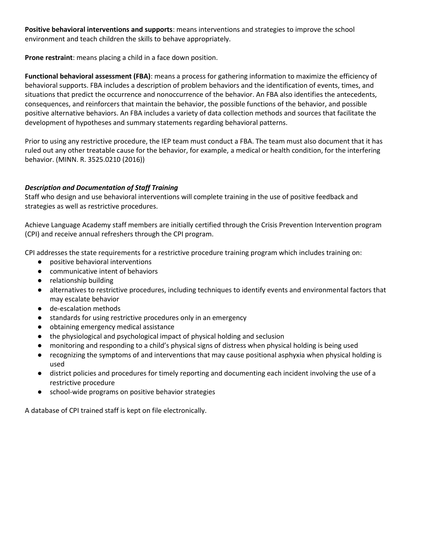**Positive behavioral interventions and supports**: means interventions and strategies to improve the school environment and teach children the skills to behave appropriately.

**Prone restraint**: means placing a child in a face down position.

**Functional behavioral assessment (FBA)**: means a process for gathering information to maximize the efficiency of behavioral supports. FBA includes a description of problem behaviors and the identification of events, times, and situations that predict the occurrence and nonoccurrence of the behavior. An FBA also identifies the antecedents, consequences, and reinforcers that maintain the behavior, the possible functions of the behavior, and possible positive alternative behaviors. An FBA includes a variety of data collection methods and sources that facilitate the development of hypotheses and summary statements regarding behavioral patterns.

Prior to using any restrictive procedure, the IEP team must conduct a FBA. The team must also document that it has ruled out any other treatable cause for the behavior, for example, a medical or health condition, for the interfering behavior. (MINN. R. 3525.0210 (2016))

#### *Description and Documentation of Staff Training*

Staff who design and use behavioral interventions will complete training in the use of positive feedback and strategies as well as restrictive procedures.

Achieve Language Academy staff members are initially certified through the Crisis Prevention Intervention program (CPI) and receive annual refreshers through the CPI program.

CPI addresses the state requirements for a restrictive procedure training program which includes training on:

- positive behavioral interventions
- communicative intent of behaviors
- relationship building
- alternatives to restrictive procedures, including techniques to identify events and environmental factors that may escalate behavior
- de-escalation methods
- standards for using restrictive procedures only in an emergency
- obtaining emergency medical assistance
- the physiological and psychological impact of physical holding and seclusion
- monitoring and responding to a child's physical signs of distress when physical holding is being used
- recognizing the symptoms of and interventions that may cause positional asphyxia when physical holding is used
- district policies and procedures for timely reporting and documenting each incident involving the use of a restrictive procedure
- school-wide programs on positive behavior strategies

A database of CPI trained staff is kept on file electronically.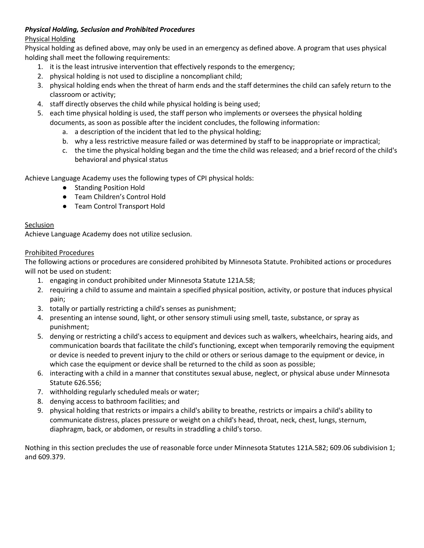# *Physical Holding, Seclusion and Prohibited Procedures*

# Physical Holding

Physical holding as defined above, may only be used in an emergency as defined above. A program that uses physical holding shall meet the following requirements:

- 1. it is the least intrusive intervention that effectively responds to the emergency;
- 2. physical holding is not used to discipline a noncompliant child;
- 3. physical holding ends when the threat of harm ends and the staff determines the child can safely return to the classroom or activity;
- 4. staff directly observes the child while physical holding is being used;
- 5. each time physical holding is used, the staff person who implements or oversees the physical holding documents, as soon as possible after the incident concludes, the following information:
	- a. a description of the incident that led to the physical holding;
	- b. why a less restrictive measure failed or was determined by staff to be inappropriate or impractical;
	- c. the time the physical holding began and the time the child was released; and a brief record of the child's behavioral and physical status

Achieve Language Academy uses the following types of CPI physical holds:

- Standing Position Hold
- Team Children's Control Hold
- Team Control Transport Hold

#### **Seclusion**

Achieve Language Academy does not utilize seclusion.

# Prohibited Procedures

The following actions or procedures are considered prohibited by Minnesota Statute. Prohibited actions or procedures will not be used on student:

- 1. engaging in conduct prohibited under Minnesota Statute 121A.58;
- 2. requiring a child to assume and maintain a specified physical position, activity, or posture that induces physical pain;
- 3. totally or partially restricting a child's senses as punishment;
- 4. presenting an intense sound, light, or other sensory stimuli using smell, taste, substance, or spray as punishment;
- 5. denying or restricting a child's access to equipment and devices such as walkers, wheelchairs, hearing aids, and communication boards that facilitate the child's functioning, except when temporarily removing the equipment or device is needed to prevent injury to the child or others or serious damage to the equipment or device, in which case the equipment or device shall be returned to the child as soon as possible;
- 6. interacting with a child in a manner that constitutes sexual abuse, neglect, or physical abuse under Minnesota Statute 626.556;
- 7. withholding regularly scheduled meals or water;
- 8. denying access to bathroom facilities; and
- 9. physical holding that restricts or impairs a child's ability to breathe, restricts or impairs a child's ability to communicate distress, places pressure or weight on a child's head, throat, neck, chest, lungs, sternum, diaphragm, back, or abdomen, or results in straddling a child's torso.

Nothing in this section precludes the use of reasonable force under Minnesota Statutes 121A.582; 609.06 subdivision 1; and 609.379.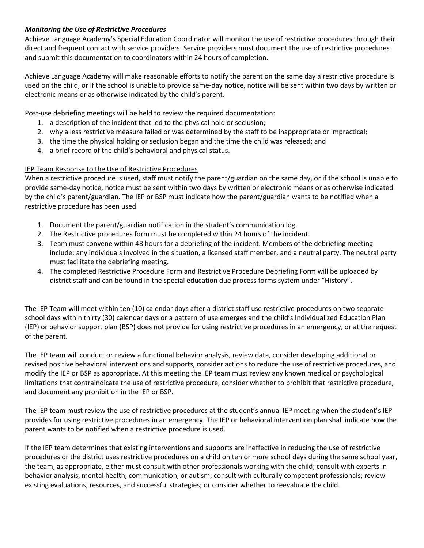## *Monitoring the Use of Restrictive Procedures*

Achieve Language Academy's Special Education Coordinator will monitor the use of restrictive procedures through their direct and frequent contact with service providers. Service providers must document the use of restrictive procedures and submit this documentation to coordinators within 24 hours of completion.

Achieve Language Academy will make reasonable efforts to notify the parent on the same day a restrictive procedure is used on the child, or if the school is unable to provide same-day notice, notice will be sent within two days by written or electronic means or as otherwise indicated by the child's parent.

Post-use debriefing meetings will be held to review the required documentation:

- 1. a description of the incident that led to the physical hold or seclusion;
- 2. why a less restrictive measure failed or was determined by the staff to be inappropriate or impractical;
- 3. the time the physical holding or seclusion began and the time the child was released; and
- 4. a brief record of the child's behavioral and physical status.

#### IEP Team Response to the Use of Restrictive Procedures

When a restrictive procedure is used, staff must notify the parent/guardian on the same day, or if the school is unable to provide same-day notice, notice must be sent within two days by written or electronic means or as otherwise indicated by the child's parent/guardian. The IEP or BSP must indicate how the parent/guardian wants to be notified when a restrictive procedure has been used.

- 1. Document the parent/guardian notification in the student's communication log.
- 2. The Restrictive procedures form must be completed within 24 hours of the incident.
- 3. Team must convene within 48 hours for a debriefing of the incident. Members of the debriefing meeting include: any individuals involved in the situation, a licensed staff member, and a neutral party. The neutral party must facilitate the debriefing meeting.
- 4. The completed Restrictive Procedure Form and Restrictive Procedure Debriefing Form will be uploaded by district staff and can be found in the special education due process forms system under "History".

The IEP Team will meet within ten (10) calendar days after a district staff use restrictive procedures on two separate school days within thirty (30) calendar days or a pattern of use emerges and the child's Individualized Education Plan (IEP) or behavior support plan (BSP) does not provide for using restrictive procedures in an emergency, or at the request of the parent.

The IEP team will conduct or review a functional behavior analysis, review data, consider developing additional or revised positive behavioral interventions and supports, consider actions to reduce the use of restrictive procedures, and modify the IEP or BSP as appropriate. At this meeting the IEP team must review any known medical or psychological limitations that contraindicate the use of restrictive procedure, consider whether to prohibit that restrictive procedure, and document any prohibition in the IEP or BSP.

The IEP team must review the use of restrictive procedures at the student's annual IEP meeting when the student's IEP provides for using restrictive procedures in an emergency. The IEP or behavioral intervention plan shall indicate how the parent wants to be notified when a restrictive procedure is used.

If the IEP team determines that existing interventions and supports are ineffective in reducing the use of restrictive procedures or the district uses restrictive procedures on a child on ten or more school days during the same school year, the team, as appropriate, either must consult with other professionals working with the child; consult with experts in behavior analysis, mental health, communication, or autism; consult with culturally competent professionals; review existing evaluations, resources, and successful strategies; or consider whether to reevaluate the child.